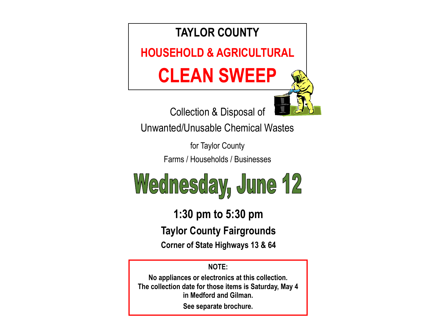

Unwanted/Unusable Chemical Wastes

for Taylor County Farms / Households / Businesses



**1:30 pm to 5:30 pm Taylor County Fairgrounds Corner of State Highways 13 & 64** 

**NOTE:** 

**No appliances or electronics at this collection. The collection date for those items is Saturday, May 4 in Medford and Gilman.** 

**See separate brochure.**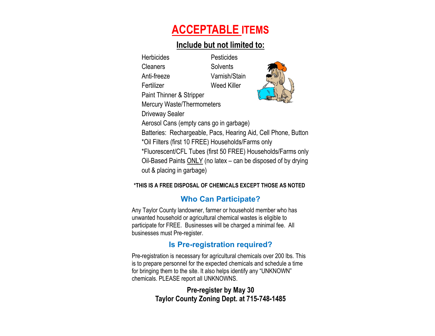# **ACCEPTABLE ITEMS**

### **Include but not limited to:**

Herbicides Pesticides Cleaners Solvents Anti-freeze Varnish/Stain Fertilizer Weed Killer



Paint Thinner & Stripper Mercury Waste/Thermometers

Driveway Sealer

Aerosol Cans (empty cans go in garbage)

Batteries: Rechargeable, Pacs, Hearing Aid, Cell Phone, Button

\*Oil Filters (first 10 FREE) Households/Farms only

\*Fluorescent/CFL Tubes (first 50 FREE) Households/Farms only Oil-Based Paints ONLY (no latex – can be disposed of by drying out & placing in garbage)

#### **\*THIS IS A FREE DISPOSAL OF CHEMICALS EXCEPT THOSE AS NOTED**

# **Who Can Participate?**

Any Taylor County landowner, farmer or household member who has unwanted household or agricultural chemical wastes is eligible to participate for FREE. Businesses will be charged a minimal fee. All businesses must Pre-register.

# **Is Pre-registration required?**

Pre-registration is necessary for agricultural chemicals over 200 lbs. This is to prepare personnel for the expected chemicals and schedule a time for bringing them to the site. It also helps identify any "UNKNOWN" chemicals. PLEASE report all UNKNOWNS.

### **Pre-register by May 30 Taylor County Zoning Dept. at 715-748-1485**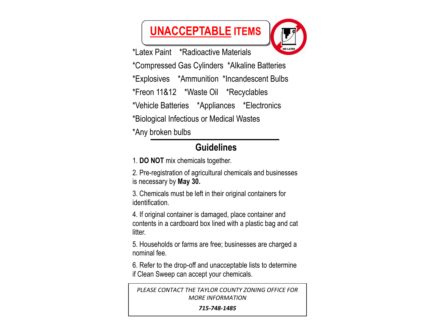# **UNACCEPTABLE ITEMS**



\*Latex Paint \*Radioactive Materials

\*Compressed Gas Cylinders \*Alkaline Batteries

\*Explosives \*Ammunition \*Incandescent Bulbs

\*Freon 11&12 \*Waste Oil \*Recyclables

\*Vehicle Batteries \*Appliances \*Electronics

\*Biological Infectious or Medical Wastes

\*Any broken bulbs

# **Guidelines**

1. **DO NOT** mix chemicals together.

2. Pre-registration of agricultural chemicals and businesses is necessary by **May 30.**

3. Chemicals must be left in their original containers for identification.

4. If original container is damaged, place container and contents in a cardboard box lined with a plastic bag and cat litter.

5. Households or farms are free; businesses are charged a nominal fee.

6. Refer to the drop-off and unacceptable lists to determine if Clean Sweep can accept your chemicals.

*PLEASE CONTACT THE TAYLOR COUNTY ZONING OFFICE FOR MORE INFORMATION* 

*715‐748‐1485*